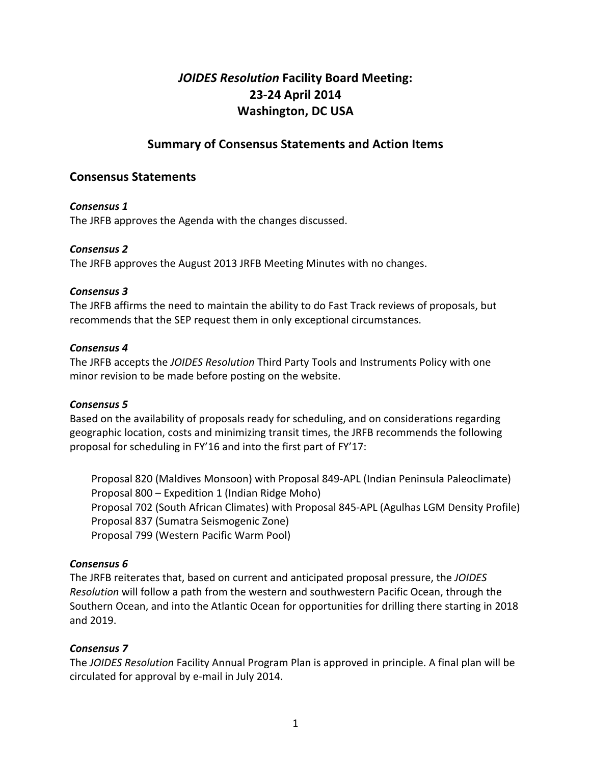# *JOIDES Resolution* Facility Board Meeting: **23-24 April 2014 Washington, DC USA**

## **Summary of Consensus Statements and Action Items**

## **Consensus Statements**

#### *Consensus 1*

The JRFB approves the Agenda with the changes discussed.

#### *Consensus 2*

The JRFB approves the August 2013 JRFB Meeting Minutes with no changes.

#### *Consensus 3*

The JRFB affirms the need to maintain the ability to do Fast Track reviews of proposals, but recommends that the SEP request them in only exceptional circumstances.

#### *Consensus 4*

The JRFB accepts the *JOIDES Resolution* Third Party Tools and Instruments Policy with one minor revision to be made before posting on the website.

#### *Consensus 5*

Based on the availability of proposals ready for scheduling, and on considerations regarding geographic location, costs and minimizing transit times, the JRFB recommends the following proposal for scheduling in FY'16 and into the first part of FY'17:

Proposal 820 (Maldives Monsoon) with Proposal 849-APL (Indian Peninsula Paleoclimate) Proposal 800 – Expedition 1 (Indian Ridge Moho) Proposal 702 (South African Climates) with Proposal 845-APL (Agulhas LGM Density Profile) Proposal 837 (Sumatra Seismogenic Zone) Proposal 799 (Western Pacific Warm Pool)

#### *Consensus 6*

The JRFB reiterates that, based on current and anticipated proposal pressure, the *JOIDES Resolution* will follow a path from the western and southwestern Pacific Ocean, through the Southern Ocean, and into the Atlantic Ocean for opportunities for drilling there starting in 2018 and 2019.

#### *Consensus 7*

The *JOIDES Resolution* Facility Annual Program Plan is approved in principle. A final plan will be circulated for approval by e-mail in July 2014.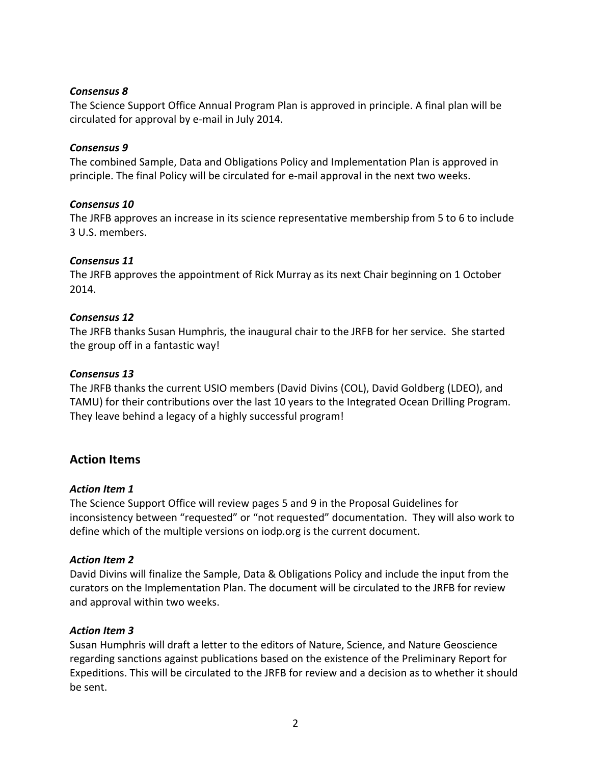#### *Consensus 8*

The Science Support Office Annual Program Plan is approved in principle. A final plan will be circulated for approval by e-mail in July 2014.

#### *Consensus 9*

The combined Sample, Data and Obligations Policy and Implementation Plan is approved in principle. The final Policy will be circulated for e-mail approval in the next two weeks.

#### *Consensus 10*

The JRFB approves an increase in its science representative membership from 5 to 6 to include 3 U.S. members. 

#### *Consensus 11*

The JRFB approves the appointment of Rick Murray as its next Chair beginning on 1 October 2014.

#### *Consensus 12*

The JRFB thanks Susan Humphris, the inaugural chair to the JRFB for her service. She started the group off in a fantastic way!

#### *Consensus 13*

The JRFB thanks the current USIO members (David Divins (COL), David Goldberg (LDEO), and TAMU) for their contributions over the last 10 years to the Integrated Ocean Drilling Program. They leave behind a legacy of a highly successful program!

## **Action Items**

#### *Action Item 1*

The Science Support Office will review pages 5 and 9 in the Proposal Guidelines for inconsistency between "requested" or "not requested" documentation. They will also work to define which of the multiple versions on iodp.org is the current document.

#### **Action Item 2**

David Divins will finalize the Sample, Data & Obligations Policy and include the input from the curators on the Implementation Plan. The document will be circulated to the JRFB for review and approval within two weeks.

#### Action Item 3

Susan Humphris will draft a letter to the editors of Nature, Science, and Nature Geoscience regarding sanctions against publications based on the existence of the Preliminary Report for Expeditions. This will be circulated to the JRFB for review and a decision as to whether it should be sent.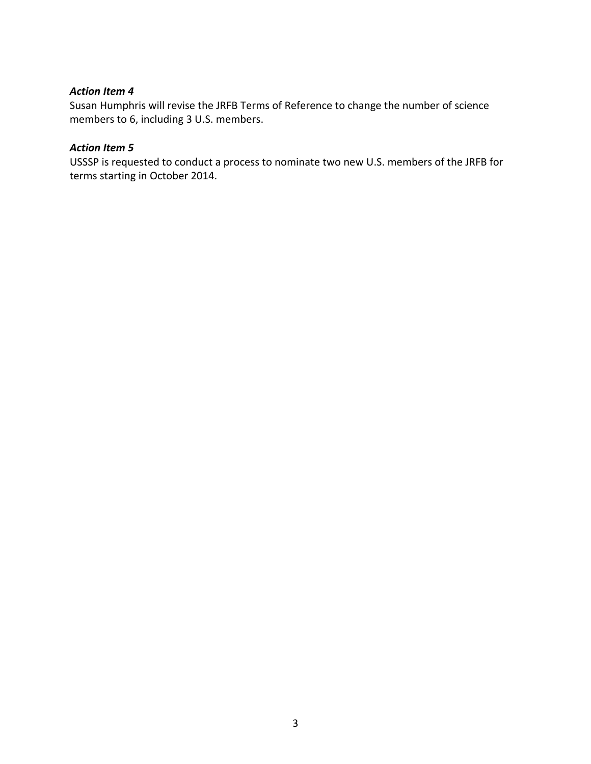#### Action Item 4

Susan Humphris will revise the JRFB Terms of Reference to change the number of science members to 6, including 3 U.S. members.

#### **Action Item 5**

USSSP is requested to conduct a process to nominate two new U.S. members of the JRFB for terms starting in October 2014.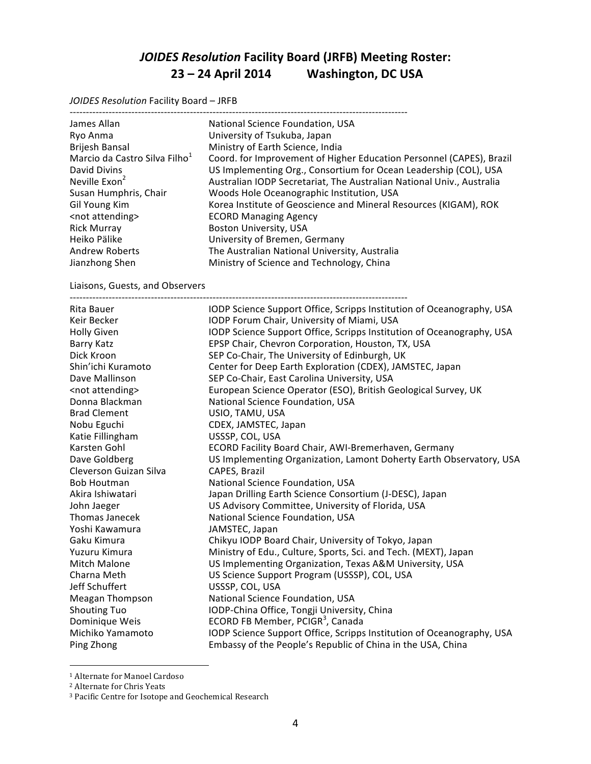# *JOIDES Resolution* **Facility Board (JRFB) Meeting Roster: 23 – 24 April 2014 Washington, DC USA**

*JOIDES Resolution Facility Board - JRFB* 

| James Allan                               | National Science Foundation, USA                                      |
|-------------------------------------------|-----------------------------------------------------------------------|
| Ryo Anma                                  | University of Tsukuba, Japan                                          |
| Brijesh Bansal                            | Ministry of Earth Science, India                                      |
| Marcio da Castro Silva Filho <sup>1</sup> | Coord. for Improvement of Higher Education Personnel (CAPES), Brazil  |
| David Divins                              | US Implementing Org., Consortium for Ocean Leadership (COL), USA      |
| Neville Exon <sup>2</sup>                 | Australian IODP Secretariat, The Australian National Univ., Australia |
| Susan Humphris, Chair                     | Woods Hole Oceanographic Institution, USA                             |
| Gil Young Kim                             | Korea Institute of Geoscience and Mineral Resources (KIGAM), ROK      |
| <not attending=""></not>                  | <b>ECORD Managing Agency</b>                                          |
| <b>Rick Murray</b>                        | <b>Boston University, USA</b>                                         |
| Heiko Pälike                              | University of Bremen, Germany                                         |
| <b>Andrew Roberts</b>                     | The Australian National University, Australia                         |
| Jianzhong Shen                            | Ministry of Science and Technology, China                             |
|                                           |                                                                       |

#### Liaisons, Guests, and Observers

| Rita Bauer               | IODP Science Support Office, Scripps Institution of Oceanography, USA |
|--------------------------|-----------------------------------------------------------------------|
| Keir Becker              | IODP Forum Chair, University of Miami, USA                            |
| <b>Holly Given</b>       | IODP Science Support Office, Scripps Institution of Oceanography, USA |
| Barry Katz               | EPSP Chair, Chevron Corporation, Houston, TX, USA                     |
| Dick Kroon               | SEP Co-Chair, The University of Edinburgh, UK                         |
| Shin'ichi Kuramoto       | Center for Deep Earth Exploration (CDEX), JAMSTEC, Japan              |
| Dave Mallinson           | SEP Co-Chair, East Carolina University, USA                           |
| <not attending=""></not> | European Science Operator (ESO), British Geological Survey, UK        |
| Donna Blackman           | National Science Foundation, USA                                      |
| <b>Brad Clement</b>      | USIO, TAMU, USA                                                       |
| Nobu Eguchi              | CDEX, JAMSTEC, Japan                                                  |
| Katie Fillingham         | USSSP, COL, USA                                                       |
| Karsten Gohl             | ECORD Facility Board Chair, AWI-Bremerhaven, Germany                  |
| Dave Goldberg            | US Implementing Organization, Lamont Doherty Earth Observatory, USA   |
| Cleverson Guizan Silva   | CAPES, Brazil                                                         |
| <b>Bob Houtman</b>       | National Science Foundation, USA                                      |
| Akira Ishiwatari         | Japan Drilling Earth Science Consortium (J-DESC), Japan               |
| John Jaeger              | US Advisory Committee, University of Florida, USA                     |
| <b>Thomas Janecek</b>    | National Science Foundation, USA                                      |
| Yoshi Kawamura           | JAMSTEC, Japan                                                        |
| Gaku Kimura              | Chikyu IODP Board Chair, University of Tokyo, Japan                   |
| Yuzuru Kimura            | Ministry of Edu., Culture, Sports, Sci. and Tech. (MEXT), Japan       |
| Mitch Malone             | US Implementing Organization, Texas A&M University, USA               |
| Charna Meth              | US Science Support Program (USSSP), COL, USA                          |
| Jeff Schuffert           | USSSP, COL, USA                                                       |
| <b>Meagan Thompson</b>   | National Science Foundation, USA                                      |
| <b>Shouting Tuo</b>      | IODP-China Office, Tongji University, China                           |
| Dominique Weis           | ECORD FB Member, PCIGR <sup>3</sup> , Canada                          |
| Michiko Yamamoto         | IODP Science Support Office, Scripps Institution of Oceanography, USA |
| Ping Zhong               | Embassy of the People's Republic of China in the USA, China           |

<sup>&</sup>lt;sup>1</sup> Alternate for Manoel Cardoso

 

<sup>&</sup>lt;sup>2</sup> Alternate for Chris Yeats

<sup>&</sup>lt;sup>3</sup> Pacific Centre for Isotope and Geochemical Research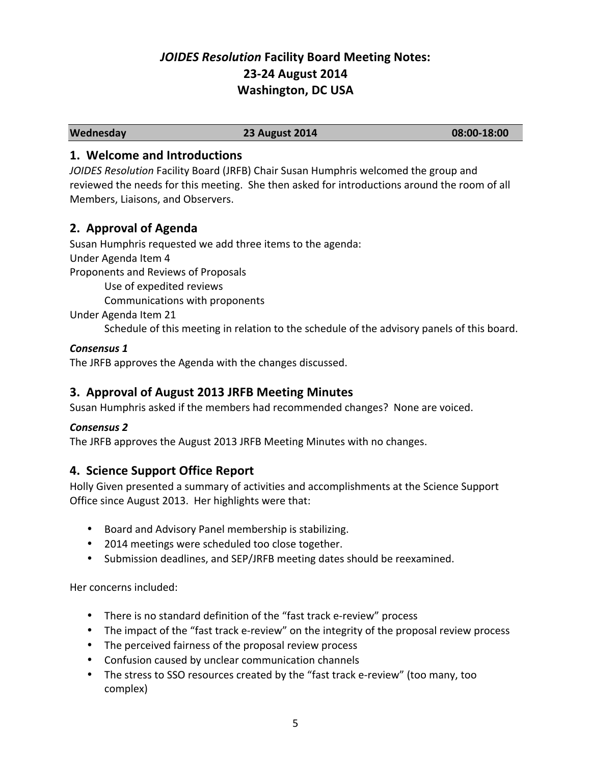# *JOIDES Resolution* **Facility Board Meeting Notes: 23-24 August 2014 Washington, DC USA**

**Wednesday 23 August 2014 08:00-18:00**

## **1. Welcome and Introductions**

*JOIDES Resolution* Facility Board (JRFB) Chair Susan Humphris welcomed the group and reviewed the needs for this meeting. She then asked for introductions around the room of all Members, Liaisons, and Observers.

## **2. Approval of Agenda**

Susan Humphris requested we add three items to the agenda:

Under Agenda Item 4

Proponents and Reviews of Proposals

Use of expedited reviews

Communications with proponents

Under Agenda Item 21

Schedule of this meeting in relation to the schedule of the advisory panels of this board.

## Consensus 1

The JRFB approves the Agenda with the changes discussed.

# **3. Approval of August 2013 JRFB Meeting Minutes**

Susan Humphris asked if the members had recommended changes? None are voiced.

## *Consensus 2*

The JRFB approves the August 2013 JRFB Meeting Minutes with no changes.

# **4. Science Support Office Report**

Holly Given presented a summary of activities and accomplishments at the Science Support Office since August 2013. Her highlights were that:

- Board and Advisory Panel membership is stabilizing.
- 2014 meetings were scheduled too close together.
- Submission deadlines, and SEP/JRFB meeting dates should be reexamined.

Her concerns included:

- There is no standard definition of the "fast track e-review" process
- The impact of the "fast track e-review" on the integrity of the proposal review process
- The perceived fairness of the proposal review process
- Confusion caused by unclear communication channels
- The stress to SSO resources created by the "fast track e-review" (too many, too complex)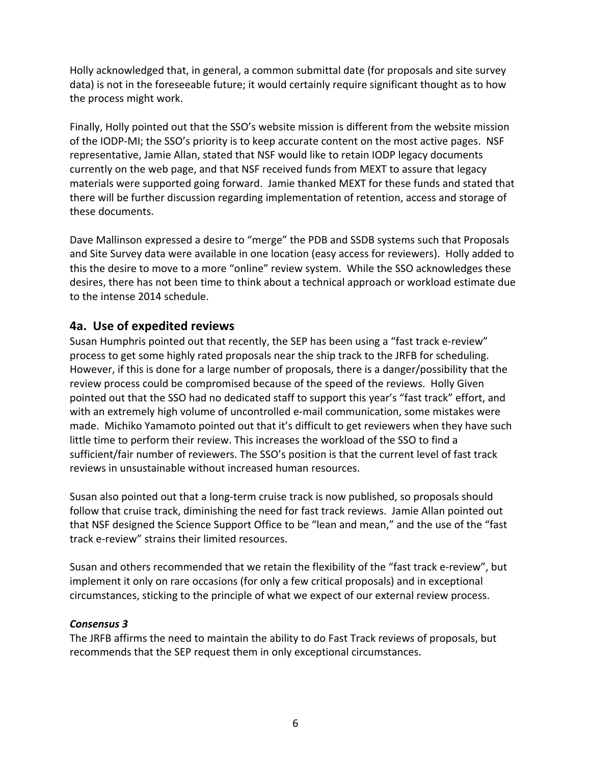Holly acknowledged that, in general, a common submittal date (for proposals and site survey data) is not in the foreseeable future; it would certainly require significant thought as to how the process might work.

Finally, Holly pointed out that the SSO's website mission is different from the website mission of the IODP-MI; the SSO's priority is to keep accurate content on the most active pages. NSF representative, Jamie Allan, stated that NSF would like to retain IODP legacy documents currently on the web page, and that NSF received funds from MEXT to assure that legacy materials were supported going forward. Jamie thanked MEXT for these funds and stated that there will be further discussion regarding implementation of retention, access and storage of these documents.

Dave Mallinson expressed a desire to "merge" the PDB and SSDB systems such that Proposals and Site Survey data were available in one location (easy access for reviewers). Holly added to this the desire to move to a more "online" review system. While the SSO acknowledges these desires, there has not been time to think about a technical approach or workload estimate due to the intense 2014 schedule.

## **4a. Use of expedited reviews**

Susan Humphris pointed out that recently, the SEP has been using a "fast track e-review" process to get some highly rated proposals near the ship track to the JRFB for scheduling. However, if this is done for a large number of proposals, there is a danger/possibility that the review process could be compromised because of the speed of the reviews. Holly Given pointed out that the SSO had no dedicated staff to support this year's "fast track" effort, and with an extremely high volume of uncontrolled e-mail communication, some mistakes were made. Michiko Yamamoto pointed out that it's difficult to get reviewers when they have such little time to perform their review. This increases the workload of the SSO to find a sufficient/fair number of reviewers. The SSO's position is that the current level of fast track reviews in unsustainable without increased human resources.

Susan also pointed out that a long-term cruise track is now published, so proposals should follow that cruise track, diminishing the need for fast track reviews. Jamie Allan pointed out that NSF designed the Science Support Office to be "lean and mean," and the use of the "fast track e-review" strains their limited resources.

Susan and others recommended that we retain the flexibility of the "fast track e-review", but implement it only on rare occasions (for only a few critical proposals) and in exceptional circumstances, sticking to the principle of what we expect of our external review process.

#### *Consensus 3*

The JRFB affirms the need to maintain the ability to do Fast Track reviews of proposals, but recommends that the SEP request them in only exceptional circumstances.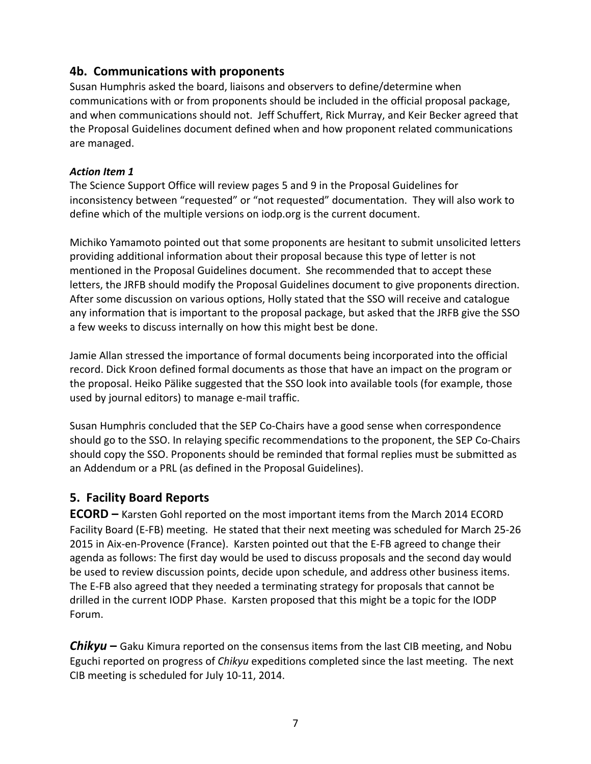## **4b. Communications with proponents**

Susan Humphris asked the board, liaisons and observers to define/determine when communications with or from proponents should be included in the official proposal package, and when communications should not. Jeff Schuffert, Rick Murray, and Keir Becker agreed that the Proposal Guidelines document defined when and how proponent related communications are managed. 

#### *Action Item 1*

The Science Support Office will review pages 5 and 9 in the Proposal Guidelines for inconsistency between "requested" or "not requested" documentation. They will also work to define which of the multiple versions on iodp.org is the current document.

Michiko Yamamoto pointed out that some proponents are hesitant to submit unsolicited letters providing additional information about their proposal because this type of letter is not mentioned in the Proposal Guidelines document. She recommended that to accept these letters, the JRFB should modify the Proposal Guidelines document to give proponents direction. After some discussion on various options, Holly stated that the SSO will receive and catalogue any information that is important to the proposal package, but asked that the JRFB give the SSO a few weeks to discuss internally on how this might best be done.

Jamie Allan stressed the importance of formal documents being incorporated into the official record. Dick Kroon defined formal documents as those that have an impact on the program or the proposal. Heiko Pälike suggested that the SSO look into available tools (for example, those used by journal editors) to manage e-mail traffic.

Susan Humphris concluded that the SEP Co-Chairs have a good sense when correspondence should go to the SSO. In relaying specific recommendations to the proponent, the SEP Co-Chairs should copy the SSO. Proponents should be reminded that formal replies must be submitted as an Addendum or a PRL (as defined in the Proposal Guidelines).

## **5. Facility Board Reports**

**ECORD** – Karsten Gohl reported on the most important items from the March 2014 ECORD Facility Board (E-FB) meeting. He stated that their next meeting was scheduled for March 25-26 2015 in Aix-en-Provence (France). Karsten pointed out that the E-FB agreed to change their agenda as follows: The first day would be used to discuss proposals and the second day would be used to review discussion points, decide upon schedule, and address other business items. The E-FB also agreed that they needed a terminating strategy for proposals that cannot be drilled in the current IODP Phase. Karsten proposed that this might be a topic for the IODP Forum.

**Chikyu** – Gaku Kimura reported on the consensus items from the last CIB meeting, and Nobu Eguchi reported on progress of *Chikyu* expeditions completed since the last meeting. The next CIB meeting is scheduled for July 10-11, 2014.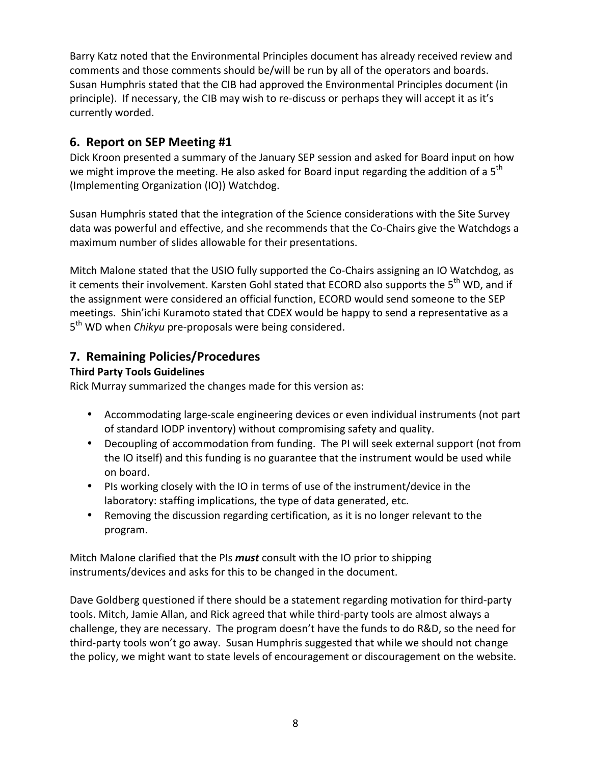Barry Katz noted that the Environmental Principles document has already received review and comments and those comments should be/will be run by all of the operators and boards. Susan Humphris stated that the CIB had approved the Environmental Principles document (in principle). If necessary, the CIB may wish to re-discuss or perhaps they will accept it as it's currently worded.

# **6. Report on SEP Meeting #1**

Dick Kroon presented a summary of the January SEP session and asked for Board input on how we might improve the meeting. He also asked for Board input regarding the addition of a  $5<sup>th</sup>$ (Implementing Organization (IO)) Watchdog.

Susan Humphris stated that the integration of the Science considerations with the Site Survey data was powerful and effective, and she recommends that the Co-Chairs give the Watchdogs a maximum number of slides allowable for their presentations.

Mitch Malone stated that the USIO fully supported the Co-Chairs assigning an IO Watchdog, as it cements their involvement. Karsten Gohl stated that ECORD also supports the 5<sup>th</sup> WD, and if the assignment were considered an official function, ECORD would send someone to the SEP meetings. Shin'ichi Kuramoto stated that CDEX would be happy to send a representative as a 5<sup>th</sup> WD when *Chikyu* pre-proposals were being considered.

## **7. Remaining Policies/Procedures**

#### **Third Party Tools Guidelines**

Rick Murray summarized the changes made for this version as:

- Accommodating large-scale engineering devices or even individual instruments (not part of standard IODP inventory) without compromising safety and quality.
- Decoupling of accommodation from funding. The PI will seek external support (not from the IO itself) and this funding is no guarantee that the instrument would be used while on board.
- PIs working closely with the IO in terms of use of the instrument/device in the laboratory: staffing implications, the type of data generated, etc.
- Removing the discussion regarding certification, as it is no longer relevant to the program.

Mitch Malone clarified that the PIs *must* consult with the IO prior to shipping instruments/devices and asks for this to be changed in the document.

Dave Goldberg questioned if there should be a statement regarding motivation for third-party tools. Mitch, Jamie Allan, and Rick agreed that while third-party tools are almost always a challenge, they are necessary. The program doesn't have the funds to do R&D, so the need for third-party tools won't go away. Susan Humphris suggested that while we should not change the policy, we might want to state levels of encouragement or discouragement on the website.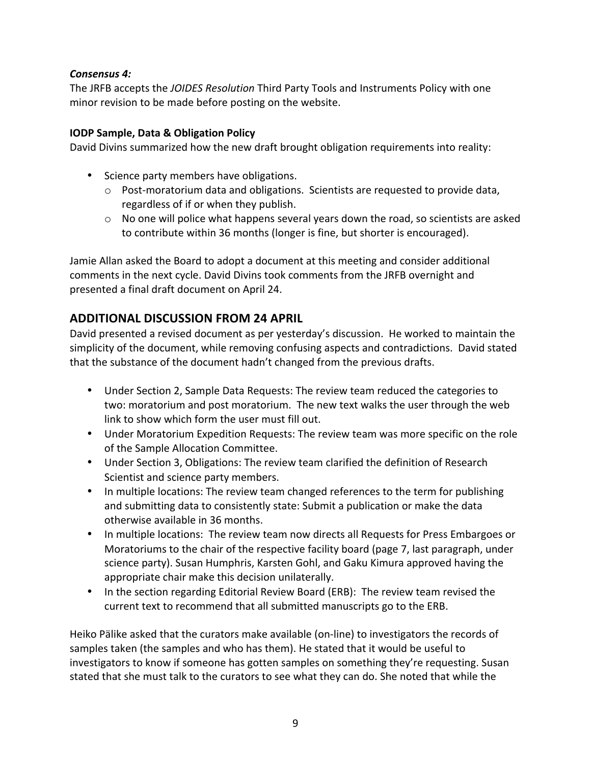#### Consensus 4:

The JRFB accepts the *JOIDES Resolution* Third Party Tools and Instruments Policy with one minor revision to be made before posting on the website.

#### **IODP Sample, Data & Obligation Policy**

David Divins summarized how the new draft brought obligation requirements into reality:

- Science party members have obligations.
	- $\circ$  Post-moratorium data and obligations. Scientists are requested to provide data, regardless of if or when they publish.
	- $\circ$  No one will police what happens several years down the road, so scientists are asked to contribute within 36 months (longer is fine, but shorter is encouraged).

Jamie Allan asked the Board to adopt a document at this meeting and consider additional comments in the next cycle. David Divins took comments from the JRFB overnight and presented a final draft document on April 24.

## **ADDITIONAL DISCUSSION FROM 24 APRIL**

David presented a revised document as per yesterday's discussion. He worked to maintain the simplicity of the document, while removing confusing aspects and contradictions. David stated that the substance of the document hadn't changed from the previous drafts.

- Under Section 2, Sample Data Requests: The review team reduced the categories to two: moratorium and post moratorium. The new text walks the user through the web link to show which form the user must fill out.
- Under Moratorium Expedition Requests: The review team was more specific on the role of the Sample Allocation Committee.
- Under Section 3, Obligations: The review team clarified the definition of Research Scientist and science party members.
- In multiple locations: The review team changed references to the term for publishing and submitting data to consistently state: Submit a publication or make the data otherwise available in 36 months.
- In multiple locations: The review team now directs all Requests for Press Embargoes or Moratoriums to the chair of the respective facility board (page 7, last paragraph, under science party). Susan Humphris, Karsten Gohl, and Gaku Kimura approved having the appropriate chair make this decision unilaterally.
- In the section regarding Editorial Review Board (ERB): The review team revised the current text to recommend that all submitted manuscripts go to the ERB.

Heiko Pälike asked that the curators make available (on-line) to investigators the records of samples taken (the samples and who has them). He stated that it would be useful to investigators to know if someone has gotten samples on something they're requesting. Susan stated that she must talk to the curators to see what they can do. She noted that while the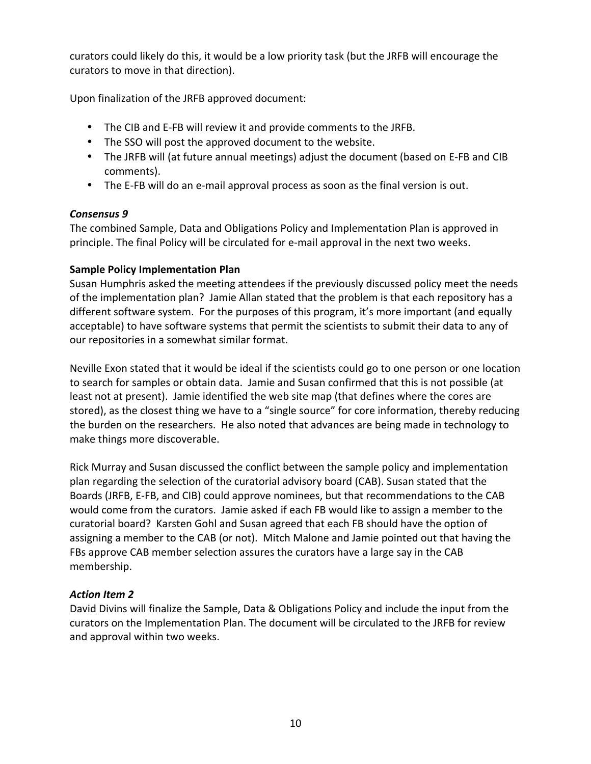curators could likely do this, it would be a low priority task (but the JRFB will encourage the curators to move in that direction).

Upon finalization of the JRFB approved document:

- The CIB and E-FB will review it and provide comments to the JRFB.
- The SSO will post the approved document to the website.
- The JRFB will (at future annual meetings) adjust the document (based on E-FB and CIB comments).
- The E-FB will do an e-mail approval process as soon as the final version is out.

#### *Consensus 9*

The combined Sample, Data and Obligations Policy and Implementation Plan is approved in principle. The final Policy will be circulated for e-mail approval in the next two weeks.

#### **Sample Policy Implementation Plan**

Susan Humphris asked the meeting attendees if the previously discussed policy meet the needs of the implementation plan? Jamie Allan stated that the problem is that each repository has a different software system. For the purposes of this program, it's more important (and equally acceptable) to have software systems that permit the scientists to submit their data to any of our repositories in a somewhat similar format.

Neville Exon stated that it would be ideal if the scientists could go to one person or one location to search for samples or obtain data. Jamie and Susan confirmed that this is not possible (at least not at present). Jamie identified the web site map (that defines where the cores are stored), as the closest thing we have to a "single source" for core information, thereby reducing the burden on the researchers. He also noted that advances are being made in technology to make things more discoverable.

Rick Murray and Susan discussed the conflict between the sample policy and implementation plan regarding the selection of the curatorial advisory board (CAB). Susan stated that the Boards (JRFB, E-FB, and CIB) could approve nominees, but that recommendations to the CAB would come from the curators. Jamie asked if each FB would like to assign a member to the curatorial board? Karsten Gohl and Susan agreed that each FB should have the option of assigning a member to the CAB (or not). Mitch Malone and Jamie pointed out that having the FBs approve CAB member selection assures the curators have a large say in the CAB membership.

#### *Action Item 2*

David Divins will finalize the Sample, Data & Obligations Policy and include the input from the curators on the Implementation Plan. The document will be circulated to the JRFB for review and approval within two weeks.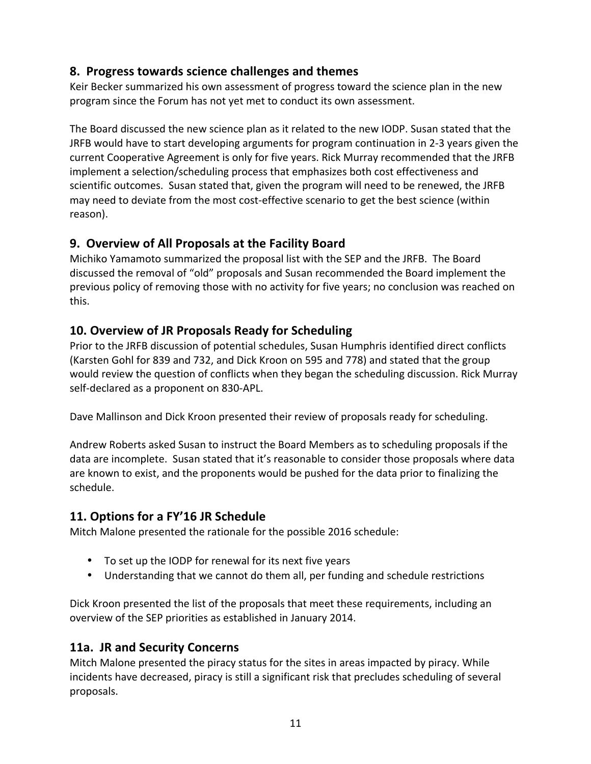## **8. Progress towards science challenges and themes**

Keir Becker summarized his own assessment of progress toward the science plan in the new program since the Forum has not yet met to conduct its own assessment.

The Board discussed the new science plan as it related to the new IODP. Susan stated that the JRFB would have to start developing arguments for program continuation in 2-3 years given the current Cooperative Agreement is only for five years. Rick Murray recommended that the JRFB implement a selection/scheduling process that emphasizes both cost effectiveness and scientific outcomes. Susan stated that, given the program will need to be renewed, the JRFB may need to deviate from the most cost-effective scenario to get the best science (within reason).

## **9. Overview of All Proposals at the Facility Board**

Michiko Yamamoto summarized the proposal list with the SEP and the JRFB. The Board discussed the removal of "old" proposals and Susan recommended the Board implement the previous policy of removing those with no activity for five years; no conclusion was reached on this.

## **10. Overview of JR Proposals Ready for Scheduling**

Prior to the JRFB discussion of potential schedules, Susan Humphris identified direct conflicts (Karsten Gohl for 839 and 732, and Dick Kroon on 595 and 778) and stated that the group would review the question of conflicts when they began the scheduling discussion. Rick Murray self-declared as a proponent on 830-APL.

Dave Mallinson and Dick Kroon presented their review of proposals ready for scheduling.

Andrew Roberts asked Susan to instruct the Board Members as to scheduling proposals if the data are incomplete. Susan stated that it's reasonable to consider those proposals where data are known to exist, and the proponents would be pushed for the data prior to finalizing the schedule. 

## **11. Options for a FY'16 JR Schedule**

Mitch Malone presented the rationale for the possible 2016 schedule:

- To set up the IODP for renewal for its next five years
- Understanding that we cannot do them all, per funding and schedule restrictions

Dick Kroon presented the list of the proposals that meet these requirements, including an overview of the SEP priorities as established in January 2014.

## **11a.** JR and Security Concerns

Mitch Malone presented the piracy status for the sites in areas impacted by piracy. While incidents have decreased, piracy is still a significant risk that precludes scheduling of several proposals.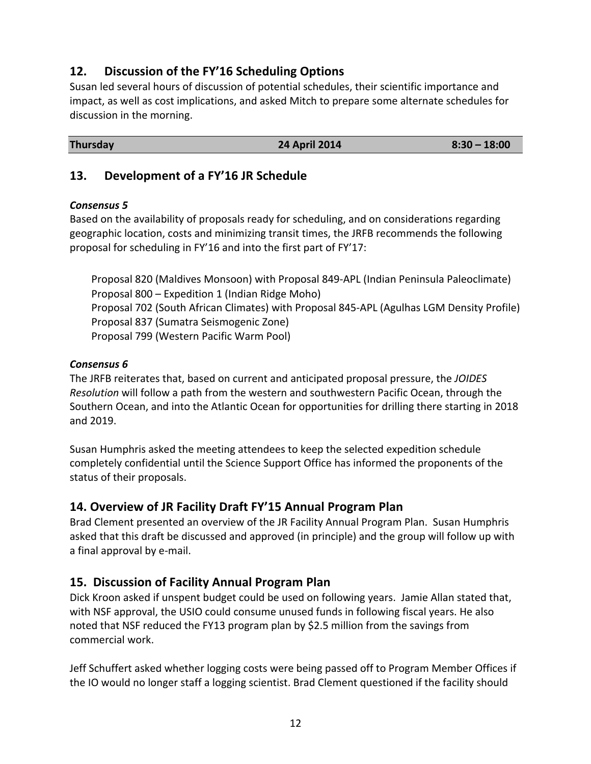## **12.** Discussion of the FY'16 Scheduling Options

Susan led several hours of discussion of potential schedules, their scientific importance and impact, as well as cost implications, and asked Mitch to prepare some alternate schedules for discussion in the morning.

#### **24 April 2014 8:30 – 18:00**

## **13.** Development of a FY'16 JR Schedule

#### *Consensus 5*

Based on the availability of proposals ready for scheduling, and on considerations regarding geographic location, costs and minimizing transit times, the JRFB recommends the following proposal for scheduling in FY'16 and into the first part of FY'17:

Proposal 820 (Maldives Monsoon) with Proposal 849-APL (Indian Peninsula Paleoclimate) Proposal 800 – Expedition 1 (Indian Ridge Moho) Proposal 702 (South African Climates) with Proposal 845-APL (Agulhas LGM Density Profile) Proposal 837 (Sumatra Seismogenic Zone) Proposal 799 (Western Pacific Warm Pool)

#### *Consensus 6*

The JRFB reiterates that, based on current and anticipated proposal pressure, the *JOIDES Resolution* will follow a path from the western and southwestern Pacific Ocean, through the Southern Ocean, and into the Atlantic Ocean for opportunities for drilling there starting in 2018 and 2019.

Susan Humphris asked the meeting attendees to keep the selected expedition schedule completely confidential until the Science Support Office has informed the proponents of the status of their proposals.

## **14. Overview of JR Facility Draft FY'15 Annual Program Plan**

Brad Clement presented an overview of the JR Facility Annual Program Plan. Susan Humphris asked that this draft be discussed and approved (in principle) and the group will follow up with a final approval by e-mail.

## **15. Discussion of Facility Annual Program Plan**

Dick Kroon asked if unspent budget could be used on following years. Jamie Allan stated that, with NSF approval, the USIO could consume unused funds in following fiscal years. He also noted that NSF reduced the FY13 program plan by \$2.5 million from the savings from commercial work.

Jeff Schuffert asked whether logging costs were being passed off to Program Member Offices if the IO would no longer staff a logging scientist. Brad Clement questioned if the facility should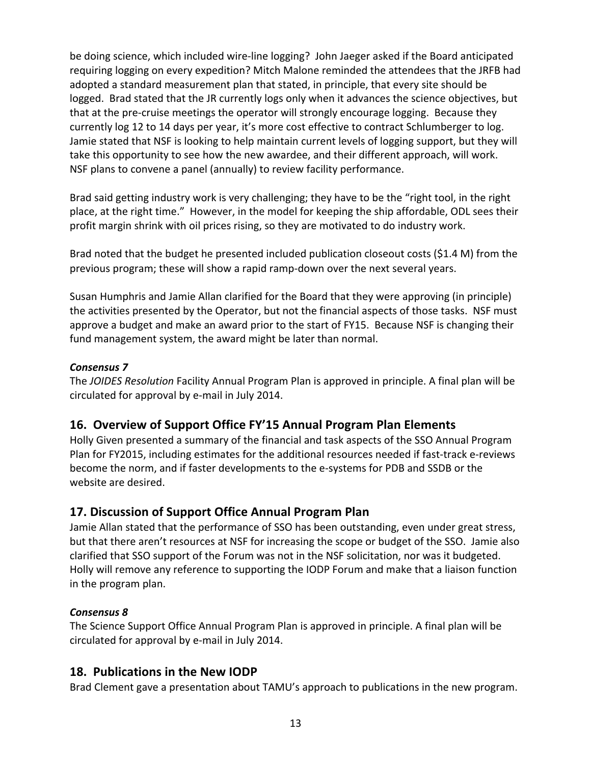be doing science, which included wire-line logging? John Jaeger asked if the Board anticipated requiring logging on every expedition? Mitch Malone reminded the attendees that the JRFB had adopted a standard measurement plan that stated, in principle, that every site should be logged. Brad stated that the JR currently logs only when it advances the science objectives, but that at the pre-cruise meetings the operator will strongly encourage logging. Because they currently log 12 to 14 days per year, it's more cost effective to contract Schlumberger to log. Jamie stated that NSF is looking to help maintain current levels of logging support, but they will take this opportunity to see how the new awardee, and their different approach, will work. NSF plans to convene a panel (annually) to review facility performance.

Brad said getting industry work is very challenging; they have to be the "right tool, in the right place, at the right time." However, in the model for keeping the ship affordable, ODL sees their profit margin shrink with oil prices rising, so they are motivated to do industry work.

Brad noted that the budget he presented included publication closeout costs (\$1.4 M) from the previous program; these will show a rapid ramp-down over the next several years.

Susan Humphris and Jamie Allan clarified for the Board that they were approving (in principle) the activities presented by the Operator, but not the financial aspects of those tasks. NSF must approve a budget and make an award prior to the start of FY15. Because NSF is changing their fund management system, the award might be later than normal.

#### *Consensus 7*

The *JOIDES Resolution* Facility Annual Program Plan is approved in principle. A final plan will be circulated for approval by e-mail in July 2014.

## **16. Overview of Support Office FY'15 Annual Program Plan Elements**

Holly Given presented a summary of the financial and task aspects of the SSO Annual Program Plan for FY2015, including estimates for the additional resources needed if fast-track e-reviews become the norm, and if faster developments to the e-systems for PDB and SSDB or the website are desired.

## **17. Discussion of Support Office Annual Program Plan**

Jamie Allan stated that the performance of SSO has been outstanding, even under great stress, but that there aren't resources at NSF for increasing the scope or budget of the SSO. Jamie also clarified that SSO support of the Forum was not in the NSF solicitation, nor was it budgeted. Holly will remove any reference to supporting the IODP Forum and make that a liaison function in the program plan.

#### *Consensus 8*

The Science Support Office Annual Program Plan is approved in principle. A final plan will be circulated for approval by e-mail in July 2014.

## **18. Publications in the New IODP**

Brad Clement gave a presentation about TAMU's approach to publications in the new program.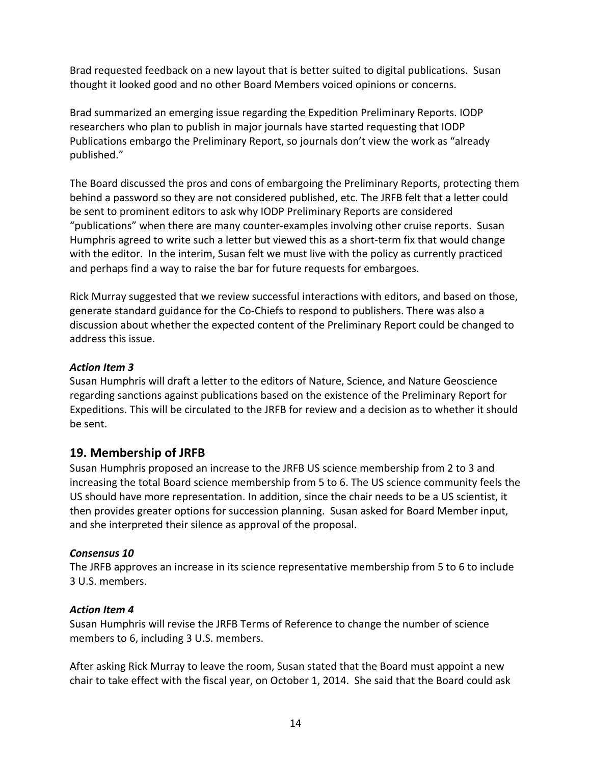Brad requested feedback on a new layout that is better suited to digital publications. Susan thought it looked good and no other Board Members voiced opinions or concerns.

Brad summarized an emerging issue regarding the Expedition Preliminary Reports. IODP researchers who plan to publish in major journals have started requesting that IODP Publications embargo the Preliminary Report, so journals don't view the work as "already published."

The Board discussed the pros and cons of embargoing the Preliminary Reports, protecting them behind a password so they are not considered published, etc. The JRFB felt that a letter could be sent to prominent editors to ask why IODP Preliminary Reports are considered "publications" when there are many counter-examples involving other cruise reports. Susan Humphris agreed to write such a letter but viewed this as a short-term fix that would change with the editor. In the interim, Susan felt we must live with the policy as currently practiced and perhaps find a way to raise the bar for future requests for embargoes.

Rick Murray suggested that we review successful interactions with editors, and based on those, generate standard guidance for the Co-Chiefs to respond to publishers. There was also a discussion about whether the expected content of the Preliminary Report could be changed to address this issue.

#### Action Item 3

Susan Humphris will draft a letter to the editors of Nature, Science, and Nature Geoscience regarding sanctions against publications based on the existence of the Preliminary Report for Expeditions. This will be circulated to the JRFB for review and a decision as to whether it should be sent.

## 19. Membership of JRFB

Susan Humphris proposed an increase to the JRFB US science membership from 2 to 3 and increasing the total Board science membership from 5 to 6. The US science community feels the US should have more representation. In addition, since the chair needs to be a US scientist, it then provides greater options for succession planning. Susan asked for Board Member input, and she interpreted their silence as approval of the proposal.

#### *Consensus 10*

The JRFB approves an increase in its science representative membership from 5 to 6 to include 3 U.S. members. 

#### **Action Item 4**

Susan Humphris will revise the JRFB Terms of Reference to change the number of science members to 6, including 3 U.S. members.

After asking Rick Murray to leave the room, Susan stated that the Board must appoint a new chair to take effect with the fiscal year, on October 1, 2014. She said that the Board could ask